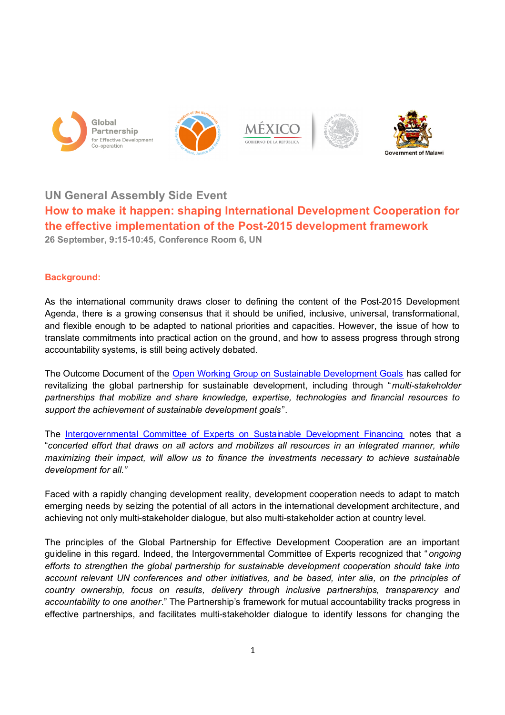









## **UN General Assembly Side Event**

# **How to make it happen: shaping International Development Cooperation for the effective implementation of the Post-2015 development framework**

**26 September, 9:15-10:45, Conference Room 6, UN**

## **Background:**

As the international community draws closer to defining the content of the Post-2015 Development Agenda, there is a growing consensus that it should be unified, inclusive, universal, transformational, and flexible enough to be adapted to national priorities and capacities. However, the issue of how to translate commitments into practical action on the ground, and how to assess progress through strong accountability systems, is still being actively debated.

The Outcome Document of the Open Working Group on Sustainable Development Goals has called for revitalizing the global partnership for sustainable development, including through "*multi-stakeholder partnerships that mobilize and share knowledge, expertise, technologies and financial resources to support the achievement of sustainable development goals*".

The Intergovernmental Committee of Experts on Sustainable Development Financing notes that a "*concerted effort that draws on all actors and mobilizes all resources in an integrated manner, while maximizing their impact, will allow us to finance the investments necessary to achieve sustainable development for all."*

Faced with a rapidly changing development reality, development cooperation needs to adapt to match emerging needs by seizing the potential of all actors in the international development architecture, and achieving not only multi-stakeholder dialogue, but also multi-stakeholder action at country level.

The principles of the Global Partnership for Effective Development Cooperation are an important guideline in this regard. Indeed, the Intergovernmental Committee of Experts recognized that " *ongoing efforts to strengthen the global partnership for sustainable development cooperation should take into account relevant UN conferences and other initiatives, and be based, inter alia, on the principles of country ownership, focus on results, delivery through inclusive partnerships, transparency and accountability to one another*." The Partnership's framework for mutual accountability tracks progress in effective partnerships, and facilitates multi-stakeholder dialogue to identify lessons for changing the